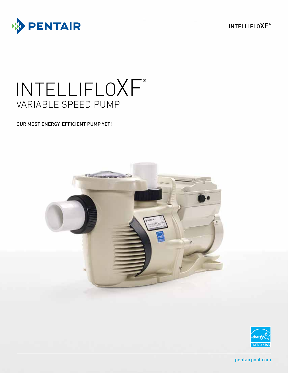

INTELLIFLOXF®

# INTELLIFLOXF® VARIABLE SPEED PUMP

## OUR MOST ENERGY-EFFICIENT PUMP YET!





pentairpool.com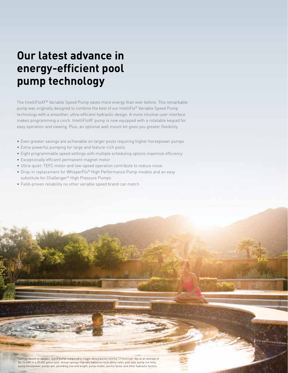# **Our latest advance in energy-efficient pool pump technology**

The IntelliFloXF® Variable Speed Pump saves more energy than ever before. This remarkable pump was originally designed to combine the best of our IntelliFlo® Variable Speed Pump technology with a smoother, ultra-efficient hydraulic design. A more intuitive user interface makes programming a cinch. IntelliFloXF pump is now equipped with a rotatable keypad for easy operation and viewing. Plus, an optional wall mount kit gives you greater flexibility.

- Even greater savings are achievable on larger pools requiring higher horsepower pumps
- Extra-powerful pumping for large and feature-rich pools
- Eight programmable speed settings with multiple scheduling options maximize efficiency
- Exceptionally efficient permanent magnet motor
- Ultra-quiet: TEFC motor and low-speed operation contribute to reduce noise
- Drop-in replacement for WhisperFlo® High Performance Pump models and an easy substitute for Challenger® High Pressure Pumps
- Field-proven reliability no other variable speed brand can match

\*Savings based on variable speed pump compared to single-speed pump running 12 hours per day at an average of \$0.16 kWh in a 20,000 gallon pool. Actual savings may vary based on local utility rates, pool size, pump run time, pump horsepower, pump rpm, plumbing size and length, pump model, service factor and other hydraulic factors.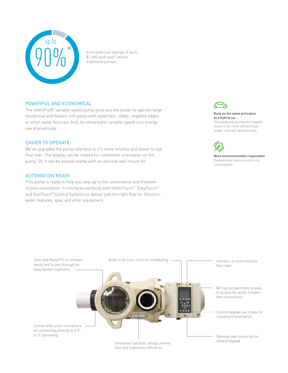

Estimated cost savings of up to \$1,600 each year\* versus traditional pumps**.**

#### POWERFUL AND ECONOMICAL

The IntelliFloXF variable speed pump gives you the power to operate large residential and feature-rich pools with waterfalls, slides, negative edges or other water features. And, its remarkable variable speed cuts energy use dramatically.

#### EASIER TO OPERATE

We've upgraded the pump interface so it's more intuitive and easier to use than ever. The display can be rotated for convenient orientation on the pump. Or, it can be placed nearby with an optional wall mount kit.

### AUTOMATION READY

This pump is ready to help you step up to the convenience and freedom of pool automation. It interfaces perfectly with IntelliTouch®, EasyTouch® and SunTouch® Control Systems to deliver just the right flow for filtration, water features, spas and other equipment.



#### **Runs on the same principles as a hybrid car** The advanced permanent magnet

motor is far more efficient than single- and two-speed pumps.



**More environmentally responsible** Dramatically reduces electricity consumption.